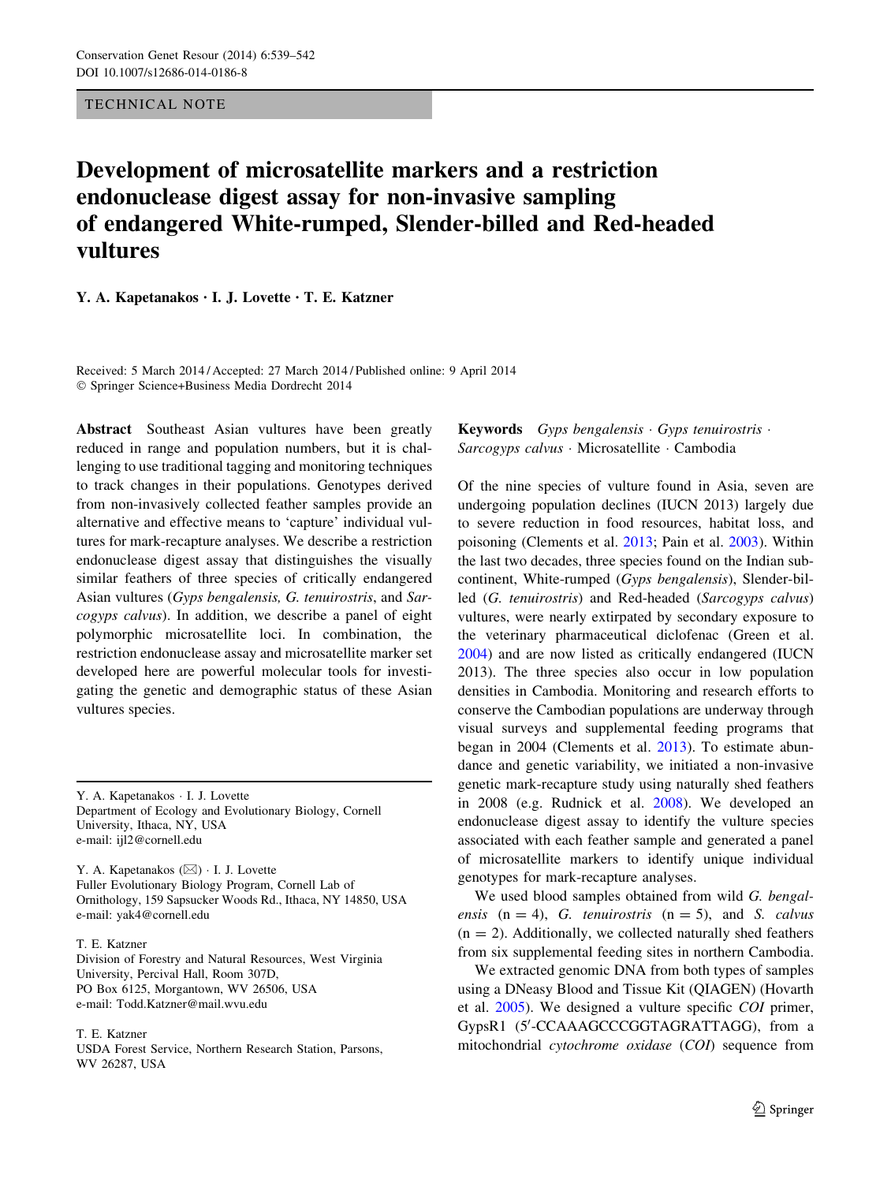TECHNICAL NOTE

# Development of microsatellite markers and a restriction endonuclease digest assay for non-invasive sampling of endangered White-rumped, Slender-billed and Red-headed vultures

Y. A. Kapetanakos • I. J. Lovette • T. E. Katzner

Received: 5 March 2014 / Accepted: 27 March 2014 / Published online: 9 April 2014 - Springer Science+Business Media Dordrecht 2014

Abstract Southeast Asian vultures have been greatly reduced in range and population numbers, but it is challenging to use traditional tagging and monitoring techniques to track changes in their populations. Genotypes derived from non-invasively collected feather samples provide an alternative and effective means to 'capture' individual vultures for mark-recapture analyses. We describe a restriction endonuclease digest assay that distinguishes the visually similar feathers of three species of critically endangered Asian vultures (Gyps bengalensis, G. tenuirostris, and Sarcogyps calvus). In addition, we describe a panel of eight polymorphic microsatellite loci. In combination, the restriction endonuclease assay and microsatellite marker set developed here are powerful molecular tools for investigating the genetic and demographic status of these Asian vultures species.

Y. A. Kapetanakos - I. J. Lovette Department of Ecology and Evolutionary Biology, Cornell University, Ithaca, NY, USA e-mail: ijl2@cornell.edu

Y. A. Kapetanakos (⊠) · I. J. Lovette Fuller Evolutionary Biology Program, Cornell Lab of Ornithology, 159 Sapsucker Woods Rd., Ithaca, NY 14850, USA e-mail: yak4@cornell.edu

#### T. E. Katzner

Division of Forestry and Natural Resources, West Virginia University, Percival Hall, Room 307D, PO Box 6125, Morgantown, WV 26506, USA e-mail: Todd.Katzner@mail.wvu.edu

### T. E. Katzner

USDA Forest Service, Northern Research Station, Parsons, WV 26287, USA

## Keywords Gyps bengalensis · Gyps tenuirostris · Sarcogyps calvus · Microsatellite · Cambodia

Of the nine species of vulture found in Asia, seven are undergoing population declines (IUCN 2013) largely due to severe reduction in food resources, habitat loss, and poisoning (Clements et al. [2013;](#page-3-0) Pain et al. [2003](#page-3-0)). Within the last two decades, three species found on the Indian subcontinent, White-rumped (Gyps bengalensis), Slender-billed (G. tenuirostris) and Red-headed (Sarcogyps calvus) vultures, were nearly extirpated by secondary exposure to the veterinary pharmaceutical diclofenac (Green et al. [2004](#page-3-0)) and are now listed as critically endangered (IUCN 2013). The three species also occur in low population densities in Cambodia. Monitoring and research efforts to conserve the Cambodian populations are underway through visual surveys and supplemental feeding programs that began in 2004 (Clements et al. [2013](#page-3-0)). To estimate abundance and genetic variability, we initiated a non-invasive genetic mark-recapture study using naturally shed feathers in 2008 (e.g. Rudnick et al. [2008\)](#page-3-0). We developed an endonuclease digest assay to identify the vulture species associated with each feather sample and generated a panel of microsatellite markers to identify unique individual genotypes for mark-recapture analyses.

We used blood samples obtained from wild G. bengalensis  $(n = 4)$ , G. tenuirostris  $(n = 5)$ , and S. calvus  $(n = 2)$ . Additionally, we collected naturally shed feathers from six supplemental feeding sites in northern Cambodia.

We extracted genomic DNA from both types of samples using a DNeasy Blood and Tissue Kit (QIAGEN) (Hovarth et al. [2005](#page-3-0)). We designed a vulture specific COI primer, GypsR1 (5'-CCAAAGCCCGGTAGRATTAGG), from a mitochondrial cytochrome oxidase (COI) sequence from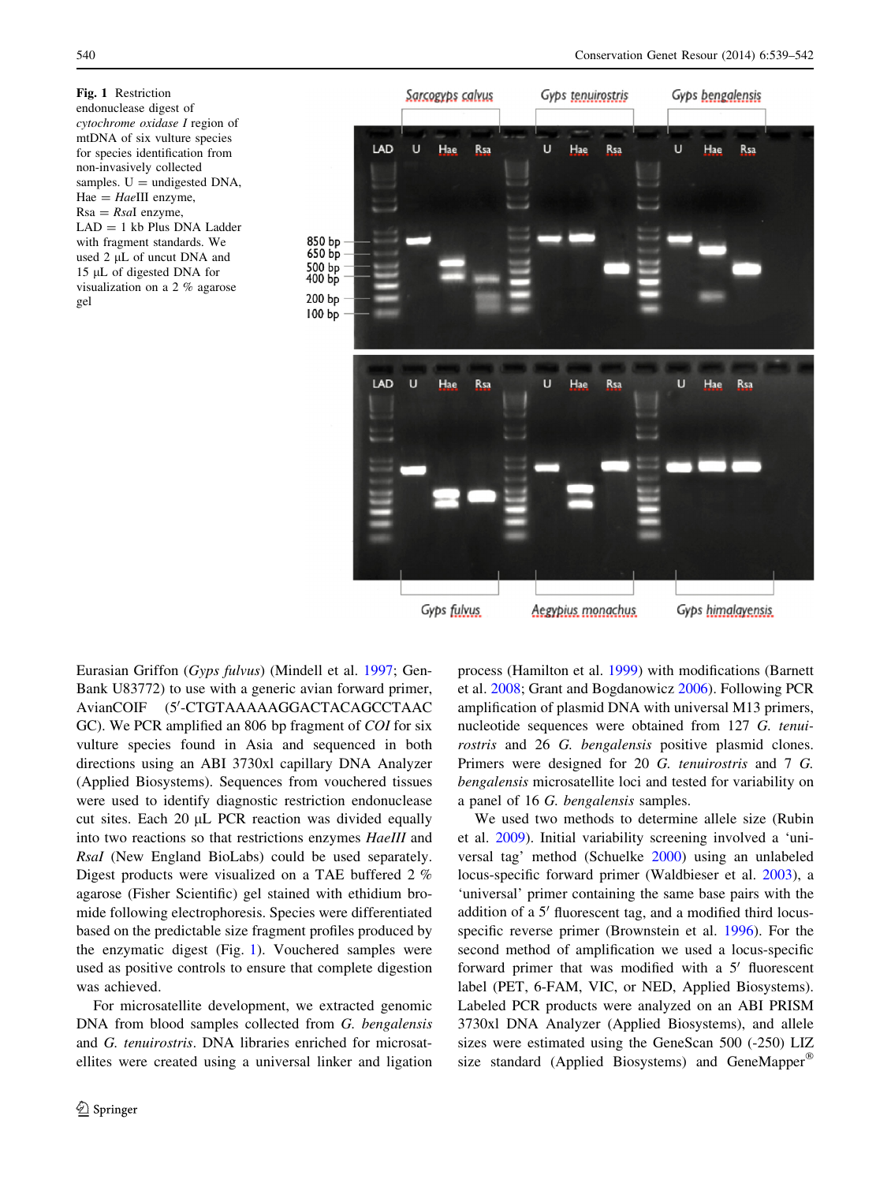Fig. 1 Restriction endonuclease digest of cytochrome oxidase I region of mtDNA of six vulture species for species identification from non-invasively collected samples.  $U =$  undigested DNA,  $Hae = HaeIII$  enzyme,  $Rsa = RsaI$  enzyme,  $LAD = 1$  kb Plus DNA Ladder with fragment standards. We used 2 µL of uncut DNA and 15 µL of digested DNA for visualization on a 2 % agarose gel



Eurasian Griffon (Gyps fulvus) (Mindell et al. [1997;](#page-3-0) Gen-Bank U83772) to use with a generic avian forward primer, AvianCOIF (5'-CTGTAAAAAGGACTACAGCCTAAC GC). We PCR amplified an 806 bp fragment of *COI* for six vulture species found in Asia and sequenced in both directions using an ABI 3730xl capillary DNA Analyzer (Applied Biosystems). Sequences from vouchered tissues were used to identify diagnostic restriction endonuclease cut sites. Each  $20 \mu L$  PCR reaction was divided equally into two reactions so that restrictions enzymes HaeIII and RsaI (New England BioLabs) could be used separately. Digest products were visualized on a TAE buffered 2 % agarose (Fisher Scientific) gel stained with ethidium bromide following electrophoresis. Species were differentiated based on the predictable size fragment profiles produced by the enzymatic digest (Fig. 1). Vouchered samples were used as positive controls to ensure that complete digestion was achieved.

For microsatellite development, we extracted genomic DNA from blood samples collected from G. bengalensis and G. tenuirostris. DNA libraries enriched for microsatellites were created using a universal linker and ligation process (Hamilton et al. [1999\)](#page-3-0) with modifications (Barnett et al. [2008](#page-3-0); Grant and Bogdanowicz [2006](#page-3-0)). Following PCR amplification of plasmid DNA with universal M13 primers, nucleotide sequences were obtained from 127 G. tenuirostris and 26 G. bengalensis positive plasmid clones. Primers were designed for 20 G. tenuirostris and 7 G. bengalensis microsatellite loci and tested for variability on a panel of 16 G. bengalensis samples.

We used two methods to determine allele size (Rubin et al. [2009](#page-3-0)). Initial variability screening involved a 'universal tag' method (Schuelke [2000\)](#page-3-0) using an unlabeled locus-specific forward primer (Waldbieser et al. [2003\)](#page-3-0), a 'universal' primer containing the same base pairs with the addition of a 5' fluorescent tag, and a modified third locusspecific reverse primer (Brownstein et al. [1996\)](#page-3-0). For the second method of amplification we used a locus-specific forward primer that was modified with a  $5'$  fluorescent label (PET, 6-FAM, VIC, or NED, Applied Biosystems). Labeled PCR products were analyzed on an ABI PRISM 3730xl DNA Analyzer (Applied Biosystems), and allele sizes were estimated using the GeneScan 500 (-250) LIZ size standard (Applied Biosystems) and GeneMapper®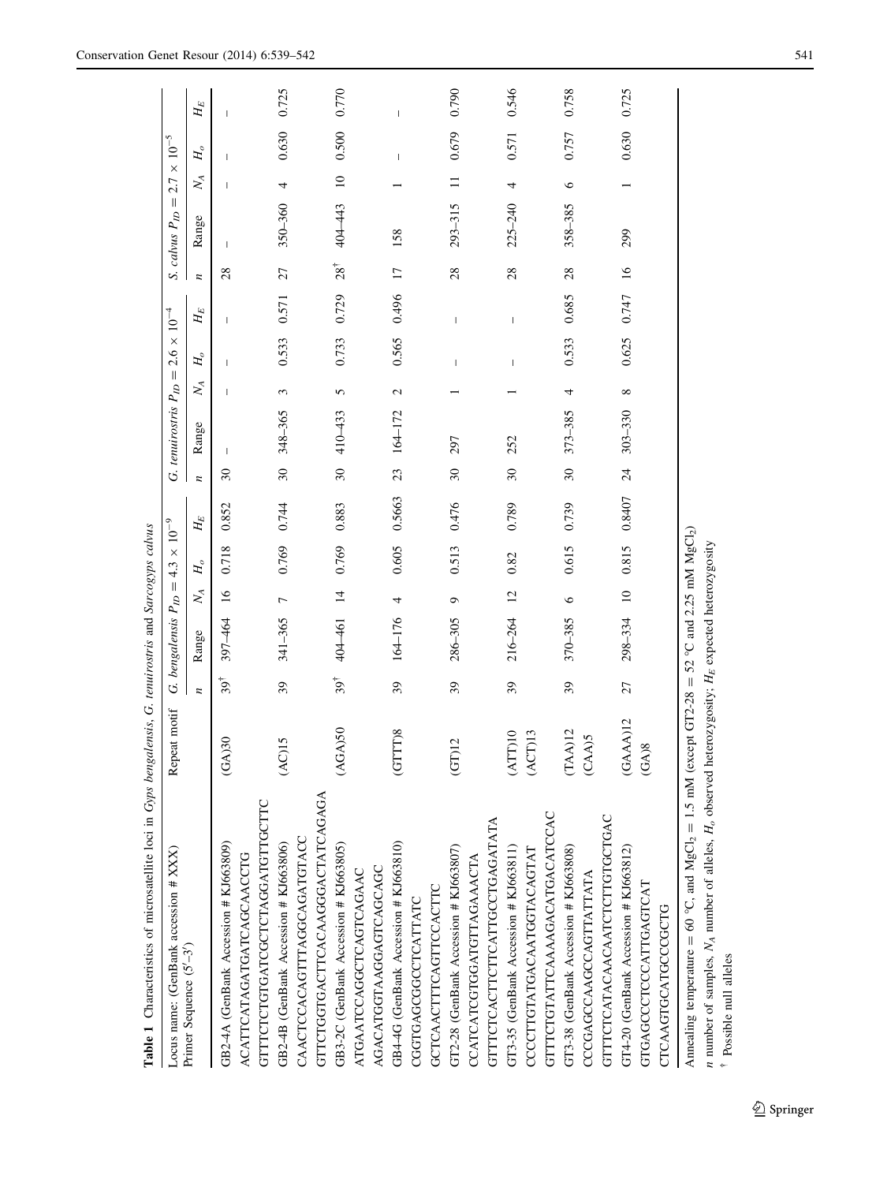<span id="page-2-0"></span>

| Table 1 Characteristics of microsatellite loci in Gyps bengalensis, G. tenuirostris and Sarcogyps calvus          |                      |                |                             |                            |                 |           |                          |                            |               |                                |                                                                                                                                                                                                                                                                                                                                                                                  |                 |                      |                 |                    |                |
|-------------------------------------------------------------------------------------------------------------------|----------------------|----------------|-----------------------------|----------------------------|-----------------|-----------|--------------------------|----------------------------|---------------|--------------------------------|----------------------------------------------------------------------------------------------------------------------------------------------------------------------------------------------------------------------------------------------------------------------------------------------------------------------------------------------------------------------------------|-----------------|----------------------|-----------------|--------------------|----------------|
| Locus name: (GenBank accession # XXX)                                                                             | Repeat motif         | S              | bengalensis P <sub>ID</sub> | $\ensuremath{\mathsf{II}}$ | $\times$<br>4.3 | $10^{-9}$ |                          | G. tenuirostris $P_{ID} =$ |               | $2.6 \times 10^{-4}$           |                                                                                                                                                                                                                                                                                                                                                                                  |                 | S. calvus $P_{ID} =$ |                 | $2.7\times10^{-5}$ |                |
| Primer Sequence (5'-3')                                                                                           |                      | n              | Range                       | $\mathbb{X}_{\mathcal{A}}$ | $H_o$           | $H_E$     | z                        | Range                      | $\mathbb{X}$  | $H_o$                          | $H_{\cal E}$                                                                                                                                                                                                                                                                                                                                                                     |                 | Range                | $\mathbb{X}$    | $H_o$              | $H_{\!E}$      |
| GB2-4A (GenBank Accession # KJ663809)                                                                             | )30<br>$G$ A         | $39^{\dagger}$ | 397-464                     | $\overline{16}$            | 0.718           | 0.852     | $\mathcal{S}$            |                            |               |                                | т                                                                                                                                                                                                                                                                                                                                                                                | 28              | 1                    |                 |                    |                |
| ACATTCATAGATGATCAGCAACCTG                                                                                         |                      |                |                             |                            |                 |           |                          |                            |               |                                |                                                                                                                                                                                                                                                                                                                                                                                  |                 |                      |                 |                    |                |
| GTTTCTCTGTGATCGCTCTAGGATGTTGCTTC                                                                                  |                      |                |                             |                            |                 |           |                          |                            |               |                                |                                                                                                                                                                                                                                                                                                                                                                                  |                 |                      |                 |                    |                |
| GB2-4B (GenBank Accession # KJ663806)                                                                             | (AC)15               | 39             | 341-365                     | $\overline{ }$             | 0.769           | 0.744     | $\overline{\mathbf{30}}$ | 348-365                    | 3             | 0.533                          | 0.571                                                                                                                                                                                                                                                                                                                                                                            | 27              | 350-360              | 4               | 0.630              | 0.725          |
| CAACTCCACAGTTTAGGCAGATGTACC                                                                                       |                      |                |                             |                            |                 |           |                          |                            |               |                                |                                                                                                                                                                                                                                                                                                                                                                                  |                 |                      |                 |                    |                |
| GTTCTGGTGACTTCACAAGGGACTATCAGAGA                                                                                  |                      |                |                             |                            |                 |           |                          |                            |               |                                |                                                                                                                                                                                                                                                                                                                                                                                  |                 |                      |                 |                    |                |
| GB3-2C (GenBank Accession # KJ663805)                                                                             | (AGA)50              | $39^{\dagger}$ | 404-461                     | $\frac{14}{1}$             | 0.769           | 0.883     | $\overline{\mathcal{E}}$ | 410-433                    | 5             | 0.733                          | 0.729                                                                                                                                                                                                                                                                                                                                                                            | $28^{\dagger}$  | 404-443              | $\overline{10}$ | 0.500 0.770        |                |
| ATGAATCCAGGCTCAGTCAGAAC                                                                                           |                      |                |                             |                            |                 |           |                          |                            |               |                                |                                                                                                                                                                                                                                                                                                                                                                                  |                 |                      |                 |                    |                |
| AGACATGGTAAGGAGTCAGCAGC                                                                                           |                      |                |                             |                            |                 |           |                          |                            |               |                                |                                                                                                                                                                                                                                                                                                                                                                                  |                 |                      |                 |                    |                |
| GB44G (GenBank Accession # KJ663810)                                                                              | (GTTT)8              | 39             | $164 - 176$                 | 4                          | 0.605           | 0.5663    | 23                       | $164 - 172$                | $\mathcal{L}$ | 0.565                          | 0.496                                                                                                                                                                                                                                                                                                                                                                            | $\overline{17}$ | 158                  |                 | I                  | $\overline{1}$ |
| CGGTGAGCGGCCTCATTATC                                                                                              |                      |                |                             |                            |                 |           |                          |                            |               |                                |                                                                                                                                                                                                                                                                                                                                                                                  |                 |                      |                 |                    |                |
| GCTCAACTTTCAGTTCCACTTC                                                                                            |                      |                |                             |                            |                 |           |                          |                            |               |                                |                                                                                                                                                                                                                                                                                                                                                                                  |                 |                      |                 |                    |                |
| GT2-28 (GenBank Accession # KJ663807)                                                                             | (T)12                | 39             | $286 - 305$                 | $\circ$                    | 0.513           | 0.476     | $\overline{\mathbf{30}}$ | 297                        |               | $\overline{\phantom{a}}$       | $\begin{array}{c} \end{array}$                                                                                                                                                                                                                                                                                                                                                   | 28              | $293 - 315$          | $\equiv$        | 0.679              | 0.790          |
| CCATCATCGTGGATGTTAGAAACTA                                                                                         |                      |                |                             |                            |                 |           |                          |                            |               |                                |                                                                                                                                                                                                                                                                                                                                                                                  |                 |                      |                 |                    |                |
| GTTTCTCACTTCTTCATTGCCTGAGATATA                                                                                    |                      |                |                             |                            |                 |           |                          |                            |               |                                |                                                                                                                                                                                                                                                                                                                                                                                  |                 |                      |                 |                    |                |
| GT3-35 (GenBank Accession # KJ663811)                                                                             | (ATT)10              | 39             | $216 - 264$                 | $\overline{12}$            | 0.82            | 0.789     | $\overline{30}$          | 252                        |               | $\begin{array}{c} \end{array}$ | $\begin{array}{c} \rule{0pt}{2.5ex} \rule{0pt}{2.5ex} \rule{0pt}{2.5ex} \rule{0pt}{2.5ex} \rule{0pt}{2.5ex} \rule{0pt}{2.5ex} \rule{0pt}{2.5ex} \rule{0pt}{2.5ex} \rule{0pt}{2.5ex} \rule{0pt}{2.5ex} \rule{0pt}{2.5ex} \rule{0pt}{2.5ex} \rule{0pt}{2.5ex} \rule{0pt}{2.5ex} \rule{0pt}{2.5ex} \rule{0pt}{2.5ex} \rule{0pt}{2.5ex} \rule{0pt}{2.5ex} \rule{0pt}{2.5ex} \rule{0$ | 28              | $225 - 240$          | 4               | 0.571              | 0.546          |
| CCCCTTGTATGACAATGGTACAGTAT                                                                                        | (ACT)13              |                |                             |                            |                 |           |                          |                            |               |                                |                                                                                                                                                                                                                                                                                                                                                                                  |                 |                      |                 |                    |                |
| GTTTCTGTATTCAAAAGACATGACATCCAC                                                                                    |                      |                |                             |                            |                 |           |                          |                            |               |                                |                                                                                                                                                                                                                                                                                                                                                                                  |                 |                      |                 |                    |                |
| GT3-38 (GenBank Accession # KJ663808)                                                                             | (TAA)12              | 39             | 370-385                     | $\circ$                    | 0.615           | 0.739     | $\overline{30}$          | 373-385                    | 4             | 0.533                          | 0.685                                                                                                                                                                                                                                                                                                                                                                            | 28              | 358-385              | $\circ$         | 0.757              | 0.758          |
| CCCGAGCCAAGCCAGTTATTATA                                                                                           | (CAA)5               |                |                             |                            |                 |           |                          |                            |               |                                |                                                                                                                                                                                                                                                                                                                                                                                  |                 |                      |                 |                    |                |
| GTTTCTCATACAACAATCTCTTGTGCTGAC                                                                                    |                      |                |                             |                            |                 |           |                          |                            |               |                                |                                                                                                                                                                                                                                                                                                                                                                                  |                 |                      |                 |                    |                |
| GT4-20 (GenBank Accession # KJ663812)                                                                             | (GAAA)12             | 27             | 298-334                     | $\Xi$                      | 0.815           | 0.8407    | $\overline{24}$          | $303 - 330$                | $\infty$      | 0.625                          | 0.747                                                                                                                                                                                                                                                                                                                                                                            | $\overline{16}$ | 299                  |                 | 0.630              | 0.725          |
| GTGAGCCCTCCCATTGAGTCAT                                                                                            | $\frac{8}{2}$<br>(A) |                |                             |                            |                 |           |                          |                            |               |                                |                                                                                                                                                                                                                                                                                                                                                                                  |                 |                      |                 |                    |                |
| CTCAAGTGCATGCCGCTG                                                                                                |                      |                |                             |                            |                 |           |                          |                            |               |                                |                                                                                                                                                                                                                                                                                                                                                                                  |                 |                      |                 |                    |                |
| Annealing temperature = 60 °C, and $MgCl_2 = 1.5$ mM (except GT2-28 = 52 °C and 2.25 mM $MgCl_2$ )                |                      |                |                             |                            |                 |           |                          |                            |               |                                |                                                                                                                                                                                                                                                                                                                                                                                  |                 |                      |                 |                    |                |
| <i>n</i> number of samples, $N_A$ number of alleles, $H_o$ observed heterozygosity; $H_E$ expected heterozygosity |                      |                |                             |                            |                 |           |                          |                            |               |                                |                                                                                                                                                                                                                                                                                                                                                                                  |                 |                      |                 |                    |                |

n-

Possible null alleles